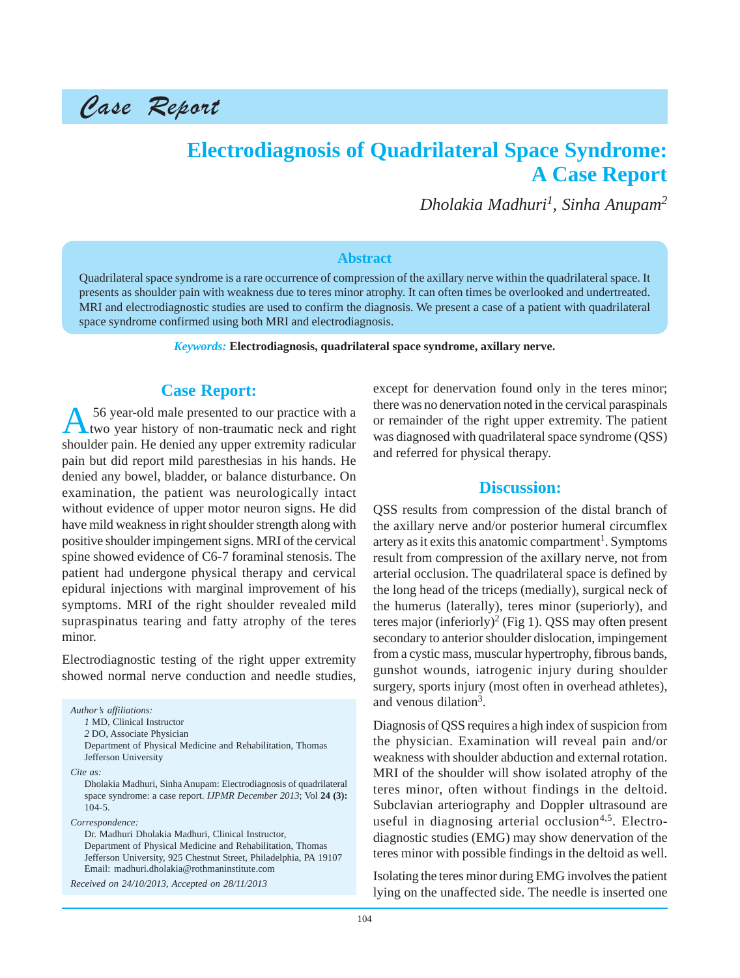

## **Electrodiagnosis of Quadrilateral Space Syndrome: A Case Report**

*Dholakia Madhuri1 , Sinha Anupam<sup>2</sup>*

#### **Abstract**

Quadrilateral space syndrome is a rare occurrence of compression of the axillary nerve within the quadrilateral space. It presents as shoulder pain with weakness due to teres minor atrophy. It can often times be overlooked and undertreated. MRI and electrodiagnostic studies are used to confirm the diagnosis. We present a case of a patient with quadrilateral space syndrome confirmed using both MRI and electrodiagnosis.

*Keywords:* **Electrodiagnosis, quadrilateral space syndrome, axillary nerve.**

#### **Case Report:**

A 56 year-old male presented to our practice with a two year history of non-traumatic neck and right shoulder pain. He denied any upper extremity radicular pain but did report mild paresthesias in his hands. He denied any bowel, bladder, or balance disturbance. On examination, the patient was neurologically intact without evidence of upper motor neuron signs. He did have mild weakness in right shoulder strength along with positive shoulder impingement signs. MRI of the cervical spine showed evidence of C6-7 foraminal stenosis. The patient had undergone physical therapy and cervical epidural injections with marginal improvement of his symptoms. MRI of the right shoulder revealed mild supraspinatus tearing and fatty atrophy of the teres minor.

Electrodiagnostic testing of the right upper extremity showed normal nerve conduction and needle studies,

*Author's affiliations: 1* MD, Clinical Instructor *2* DO, Associate Physician Department of Physical Medicine and Rehabilitation, Thomas Jefferson University *Cite as:* Dholakia Madhuri, Sinha Anupam: Electrodiagnosis of quadrilateral space syndrome: a case report. *IJPMR December 2013*; Vol **24 (3):** 104-5. *Correspondence:* Dr. Madhuri Dholakia Madhuri, Clinical Instructor, Department of Physical Medicine and Rehabilitation, Thomas

Jefferson University, 925 Chestnut Street, Philadelphia, PA 19107 Email: madhuri.dholakia@rothmaninstitute.com

*Received on 24/10/2013, Accepted on 28/11/2013*

except for denervation found only in the teres minor; there was no denervation noted in the cervical paraspinals or remainder of the right upper extremity. The patient was diagnosed with quadrilateral space syndrome (QSS) and referred for physical therapy.

#### **Discussion:**

QSS results from compression of the distal branch of the axillary nerve and/or posterior humeral circumflex artery as it exits this anatomic compartment<sup>1</sup>. Symptoms result from compression of the axillary nerve, not from arterial occlusion. The quadrilateral space is defined by the long head of the triceps (medially), surgical neck of the humerus (laterally), teres minor (superiorly), and teres major (inferiorly)<sup>2</sup> (Fig 1). QSS may often present secondary to anterior shoulder dislocation, impingement from a cystic mass, muscular hypertrophy, fibrous bands, gunshot wounds, iatrogenic injury during shoulder surgery, sports injury (most often in overhead athletes), and venous dilation<sup>3</sup>.

Diagnosis of QSS requires a high index of suspicion from the physician. Examination will reveal pain and/or weakness with shoulder abduction and external rotation. MRI of the shoulder will show isolated atrophy of the teres minor, often without findings in the deltoid. Subclavian arteriography and Doppler ultrasound are useful in diagnosing arterial occlusion<sup>4,5</sup>. Electrodiagnostic studies (EMG) may show denervation of the teres minor with possible findings in the deltoid as well.

Isolating the teres minor during EMG involves the patient lying on the unaffected side. The needle is inserted one